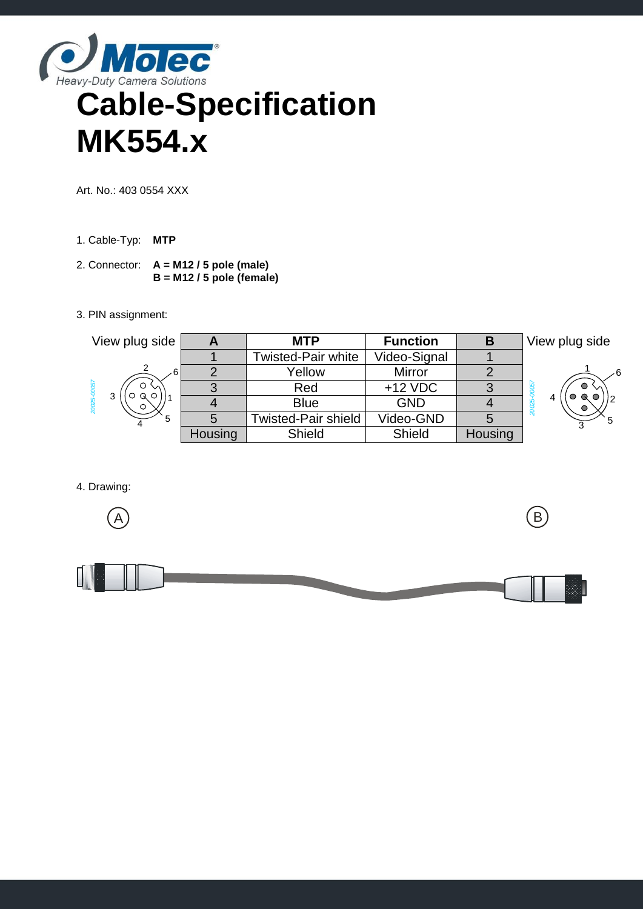

## **Cable-Specification MK554.x**

Art. No.: 403 0554 XXX

- 1. Cable-Typ: **MTP**
- 2. Connector: **A = M12 / 5 pole (male) B = M12 / 5 pole (female)**
- 3. PIN assignment:



4. Drawing: